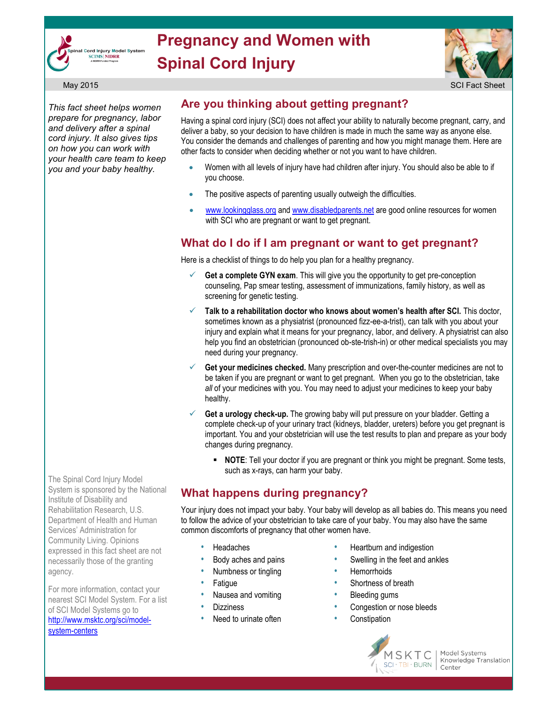

# **Pregnancy and Women with Spinal Cord Injury**



*This fact sheet helps women prepare for pregnancy, labor and delivery after a spinal cord injury. It also gives tips on how you can work with your health care team to keep you and your baby healthy.*

## **Are you thinking about getting pregnant?**

Having a spinal cord injury (SCI) does not affect your ability to naturally become pregnant, carry, and deliver a baby, so your decision to have children is made in much the same way as anyone else. You consider the demands and challenges of parenting and how you might manage them. Here are other facts to consider when deciding whether or not you want to have children.

- Women with all levels of injury have had children after injury. You should also be able to if you choose.
- The positive aspects of parenting usually outweigh the difficulties.
- [www.lookingglass.org](http://www.lookingglass.org/) an[d www.disabledparents.net a](http://www.disabledparents.net/)re good online resources for women with SCI who are pregnant or want to get pregnant.

### **What do I do if I am pregnant or want to get pregnant?**

Here is a checklist of things to do help you plan for a healthy pregnancy.

- **Get a complete GYN exam**. This will give you the opportunity to get pre-conception counseling, Pap smear testing, assessment of immunizations, family history, as well as screening for genetic testing.
- **Talk to a rehabilitation doctor who knows about women's health after SCI.** This doctor, sometimes known as a physiatrist (pronounced fizz-ee-a-trist), can talk with you about your injury and explain what it means for your pregnancy, labor, and delivery. A physiatrist can also help you find an obstetrician (pronounced ob-ste-trish-in) or other medical specialists you may need during your pregnancy.
- **Get your medicines checked.** Many prescription and over-the-counter medicines are not to be taken if you are pregnant or want to get pregnant. When you go to the obstetrician, take *all* of your medicines with you. You may need to adjust your medicines to keep your baby healthy.
- **Get a urology check-up.** The growing baby will put pressure on your bladder. Getting a complete check-up of your urinary tract (kidneys, bladder, ureters) before you get pregnant is important. You and your obstetrician will use the test results to plan and prepare as your body changes during pregnancy.
	- **NOTE:** Tell your doctor if you are pregnant or think you might be pregnant. Some tests, such as x-rays, can harm your baby.

# **What happens during pregnancy?**

Your injury does not impact your baby. Your baby will develop as all babies do. This means you need to follow the advice of your obstetrician to take care of your baby. You may also have the same common discomforts of pregnancy that other women have.

- **Headaches**
- Body aches and pains
- Numbness or tingling
- **Fatique**
- Nausea and vomiting
- Dizziness
- Need to urinate often
- Heartburn and indigestion
- Swelling in the feet and ankles
- **Hemorrhoids**
- Shortness of breath
- Bleeding gums
- Congestion or nose bleeds
- **Constipation**



Model Systems Knowledge Translation Center

The Spinal Cord Injury Model System is sponsored by the National Institute of Disability and Rehabilitation Research, U.S. Department of Health and Human Services' Administration for Community Living. Opinions expressed in this fact sheet are not necessarily those of the granting agency.

For more information, contact your nearest SCI Model System. For a list of SCI Model Systems go to [http://www.msktc.org/sci/model](http://www.msktc.org/sci/model-system-centers)[system-centers](http://www.msktc.org/sci/model-system-centers)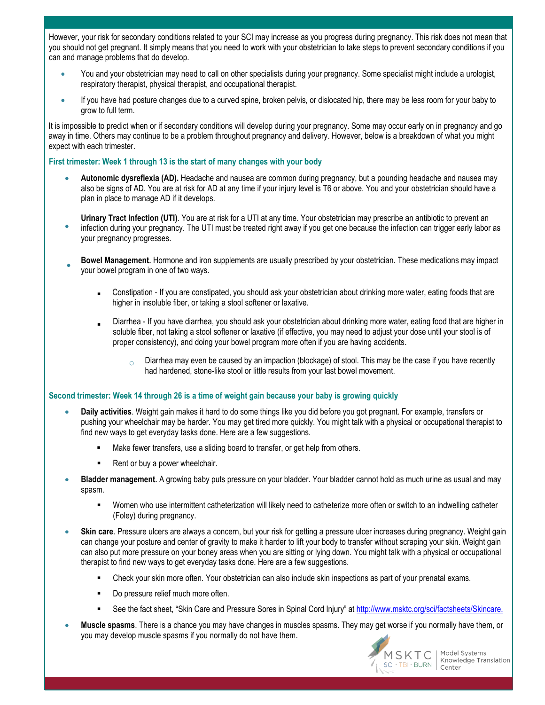However, your risk for secondary conditions related to your SCI may increase as you progress during pregnancy. This risk does not mean that you should not get pregnant. It simply means that you need to work with your obstetrician to take steps to prevent secondary conditions if you can and manage problems that do develop.

- You and your obstetrician may need to call on other specialists during your pregnancy. Some specialist might include a urologist, respiratory therapist, physical therapist, and occupational therapist.
- If you have had posture changes due to a curved spine, broken pelvis, or dislocated hip, there may be less room for your baby to grow to full term.

It is impossible to predict when or if secondary conditions will develop during your pregnancy. Some may occur early on in pregnancy and go away in time. Others may continue to be a problem throughout pregnancy and delivery. However, below is a breakdown of what you might expect with each trimester.

#### **First trimester: Week 1 through 13 is the start of many changes with your body**

 **Autonomic dysreflexia (AD).** Headache and nausea are common during pregnancy, but a pounding headache and nausea may also be signs of AD. You are at risk for AD at any time if your injury level is T6 or above. You and your obstetrician should have a plan in place to manage AD if it develops.

 $\bullet$ **Urinary Tract Infection (UTI)**. You are at risk for a UTI at any time. Your obstetrician may prescribe an antibiotic to prevent an infection during your pregnancy. The UTI must be treated right away if you get one because the infection can trigger early labor as your pregnancy progresses.

- $\bullet$ **Bowel Management.** Hormone and iron supplements are usually prescribed by your obstetrician. These medications may impact your bowel program in one of two ways.
	- Constipation If you are constipated, you should ask your obstetrician about drinking more water, eating foods that are higher in insoluble fiber, or taking a stool softener or laxative.
	- : Diarrhea - If you have diarrhea, you should ask your obstetrician about drinking more water, eating food that are higher in soluble fiber, not taking a stool softener or laxative (if effective, you may need to adjust your dose until your stool is of proper consistency), and doing your bowel program more often if you are having accidents.
		- $\circ$  Diarrhea may even be caused by an impaction (blockage) of stool. This may be the case if you have recently had hardened, stone-like stool or little results from your last bowel movement.

#### **Second trimester: Week 14 through 26 is a time of weight gain because your baby is growing quickly**

- **Daily activities**. Weight gain makes it hard to do some things like you did before you got pregnant. For example, transfers or pushing your wheelchair may be harder. You may get tired more quickly. You might talk with a physical or occupational therapist to find new ways to get everyday tasks done. Here are a few suggestions.
	- Make fewer transfers, use a sliding board to transfer, or get help from others.
	- Rent or buy a power wheelchair.
- **Bladder management.** A growing baby puts pressure on your bladder. Your bladder cannot hold as much urine as usual and may spasm.
	- Women who use intermittent catheterization will likely need to catheterize more often or switch to an indwelling catheter (Foley) during pregnancy.
- **Skin care**. Pressure ulcers are always a concern, but your risk for getting a pressure ulcer increases during pregnancy. Weight gain can change your posture and center of gravity to make it harder to lift your body to transfer without scraping your skin. Weight gain can also put more pressure on your boney areas when you are sitting or lying down. You might talk with a physical or occupational therapist to find new ways to get everyday tasks done. Here are a few suggestions.
	- Check your skin more often. Your obstetrician can also include skin inspections as part of your prenatal exams.
	- Do pressure relief much more often.
	- See the fact sheet, "Skin Care and Pressure Sores in Spinal Cord Injury" at<http://www.msktc.org/sci/factsheets/Skincare>.
- **Muscle spasms**. There is a chance you may have changes in muscles spasms. They may get worse if you normally have them, or you may develop muscle spasms if you normally do not have them.



Model Systems Knowledge Translation Center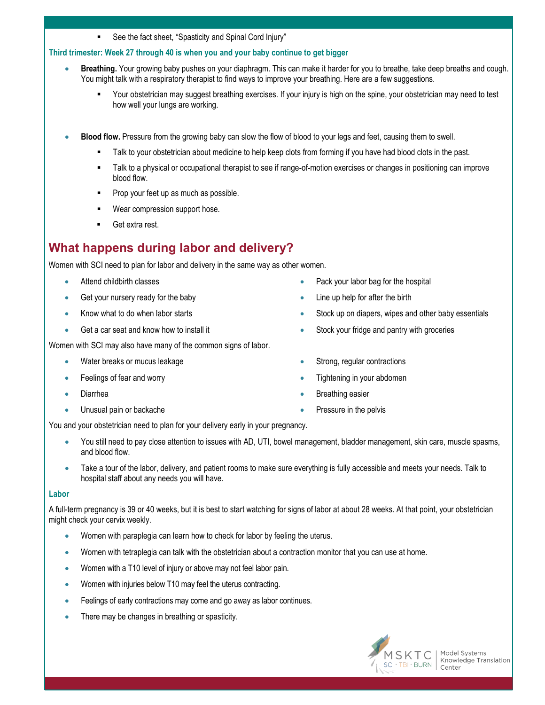See the fact sheet, "Spasticity and Spinal Cord Injury"

#### **Third trimester: Week 27 through 40 is when you and your baby continue to get bigger**

- **Breathing.** Your growing baby pushes on your diaphragm. This can make it harder for you to breathe, take deep breaths and cough. You might talk with a respiratory therapist to find ways to improve your breathing. Here are a few suggestions.
	- Your obstetrician may suggest breathing exercises. If your injury is high on the spine, your obstetrician may need to test how well your lungs are working.
- $\bullet$ **Blood flow.** Pressure from the growing baby can slow the flow of blood to your legs and feet, causing them to swell.
	- . Talk to your obstetrician about medicine to help keep clots from forming if you have had blood clots in the past.
	- Talk to a physical or occupational therapist to see if range-of-motion exercises or changes in positioning can improve blood flow.
	- Prop your feet up as much as possible.
	- Wear compression support hose.
	- Get extra rest.

# **What happens during labor and delivery?**

Women with SCI need to plan for labor and delivery in the same way as other women.

- Attend childbirth classes
- Get your nursery ready for the baby
- Know what to do when labor starts
- Get a car seat and know how to install it

Women with SCI may also have many of the common signs of labor.

- Water breaks or mucus leakage
- Feelings of fear and worry
- Diarrhea
- Unusual pain or backache
- Pack your labor bag for the hospital
- Line up help for after the birth
- Stock up on diapers, wipes and other baby essentials
- Stock your fridge and pantry with groceries
- Strong, regular contractions
- Tightening in your abdomen
- Breathing easier
- Pressure in the pelvis

You and your obstetrician need to plan for your delivery early in your pregnancy.

- You still need to pay close attention to issues with AD, UTI, bowel management, bladder management, skin care, muscle spasms, and blood flow.
- Take a tour of the labor, delivery, and patient rooms to make sure everything is fully accessible and meets your needs. Talk to hospital staff about any needs you will have.

#### **Labor**

A full-term pregnancy is 39 or 40 weeks, but it is best to start watching for signs of labor at about 28 weeks. At that point, your obstetrician might check your cervix weekly.

- Women with paraplegia can learn how to check for labor by feeling the uterus.
- Women with tetraplegia can talk with the obstetrician about a contraction monitor that you can use at home.
- Women with a T10 level of injury or above may not feel labor pain.
- Women with injuries below T10 may feel the uterus contracting.
- Feelings of early contractions may come and go away as labor continues.
- There may be changes in breathing or spasticity.